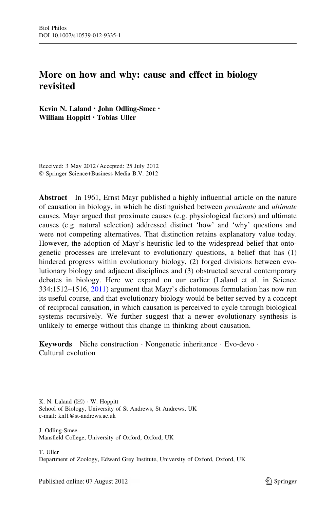# More on how and why: cause and effect in biology revisited

Kevin N. Laland • John Odling-Smee • William Hoppitt • Tobias Uller

Received: 3 May 2012 / Accepted: 25 July 2012 - Springer Science+Business Media B.V. 2012

Abstract In 1961, Ernst Mayr published a highly influential article on the nature of causation in biology, in which he distinguished between *proximate* and *ultimate* causes. Mayr argued that proximate causes (e.g. physiological factors) and ultimate causes (e.g. natural selection) addressed distinct 'how' and 'why' questions and were not competing alternatives. That distinction retains explanatory value today. However, the adoption of Mayr's heuristic led to the widespread belief that ontogenetic processes are irrelevant to evolutionary questions, a belief that has (1) hindered progress within evolutionary biology, (2) forged divisions between evolutionary biology and adjacent disciplines and (3) obstructed several contemporary debates in biology. Here we expand on our earlier (Laland et al. in Science 334:1512–1516, [2011\)](#page-24-0) argument that Mayr's dichotomous formulation has now run its useful course, and that evolutionary biology would be better served by a concept of reciprocal causation, in which causation is perceived to cycle through biological systems recursively. We further suggest that a newer evolutionary synthesis is unlikely to emerge without this change in thinking about causation.

Keywords Niche construction · Nongenetic inheritance · Evo-devo · Cultural evolution

- J. Odling-Smee Mansfield College, University of Oxford, Oxford, UK
- T. Uller Department of Zoology, Edward Grey Institute, University of Oxford, Oxford, UK

K. N. Laland  $(\boxtimes) \cdot$  W. Hoppitt School of Biology, University of St Andrews, St Andrews, UK e-mail: knl1@st-andrews.ac.uk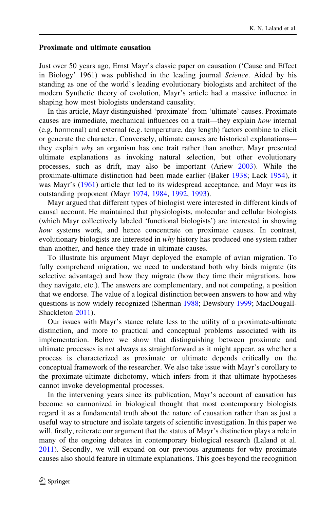#### Proximate and ultimate causation

Just over 50 years ago, Ernst Mayr's classic paper on causation ('Cause and Effect in Biology' 1961) was published in the leading journal Science. Aided by his standing as one of the world's leading evolutionary biologists and architect of the modern Synthetic theory of evolution, Mayr's article had a massive influence in shaping how most biologists understand causality.

In this article, Mayr distinguished 'proximate' from 'ultimate' causes. Proximate causes are immediate, mechanical influences on a trait—they explain how internal (e.g. hormonal) and external (e.g. temperature, day length) factors combine to elicit or generate the character. Conversely, ultimate causes are historical explanations they explain why an organism has one trait rather than another. Mayr presented ultimate explanations as invoking natural selection, but other evolutionary processes, such as drift, may also be important (Ariew [2003\)](#page-22-0). While the proximate-ultimate distinction had been made earlier (Baker [1938](#page-22-0); Lack [1954](#page-24-0)), it was Mayr's [\(1961](#page-25-0)) article that led to its widespread acceptance, and Mayr was its outstanding proponent (Mayr [1974](#page-25-0), [1984,](#page-25-0) [1992,](#page-25-0) [1993](#page-25-0)).

Mayr argued that different types of biologist were interested in different kinds of causal account. He maintained that physiologists, molecular and cellular biologists (which Mayr collectively labeled 'functional biologists') are interested in showing how systems work, and hence concentrate on proximate causes. In contrast, evolutionary biologists are interested in why history has produced one system rather than another, and hence they trade in ultimate causes.

To illustrate his argument Mayr deployed the example of avian migration. To fully comprehend migration, we need to understand both why birds migrate (its selective advantage) and how they migrate (how they time their migrations, how they navigate, etc.). The answers are complementary, and not competing, a position that we endorse. The value of a logical distinction between answers to how and why questions is now widely recognized (Sherman [1988;](#page-26-0) Dewsbury [1999](#page-23-0); MacDougall-Shackleton [2011\)](#page-24-0).

Our issues with Mayr's stance relate less to the utility of a proximate-ultimate distinction, and more to practical and conceptual problems associated with its implementation. Below we show that distinguishing between proximate and ultimate processes is not always as straightforward as it might appear, as whether a process is characterized as proximate or ultimate depends critically on the conceptual framework of the researcher. We also take issue with Mayr's corollary to the proximate-ultimate dichotomy, which infers from it that ultimate hypotheses cannot invoke developmental processes.

In the intervening years since its publication, Mayr's account of causation has become so cannonized in biological thought that most contemporary biologists regard it as a fundamental truth about the nature of causation rather than as just a useful way to structure and isolate targets of scientific investigation. In this paper we will, firstly, reiterate our argument that the status of Mayr's distinction plays a role in many of the ongoing debates in contemporary biological research (Laland et al. [2011\)](#page-24-0). Secondly, we will expand on our previous arguments for why proximate causes also should feature in ultimate explanations. This goes beyond the recognition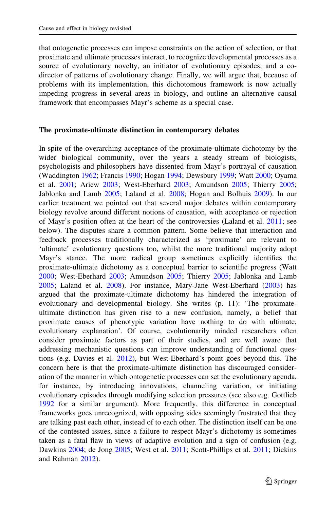that ontogenetic processes can impose constraints on the action of selection, or that proximate and ultimate processes interact, to recognize developmental processes as a source of evolutionary novelty, an initiator of evolutionary episodes, and a codirector of patterns of evolutionary change. Finally, we will argue that, because of problems with its implementation, this dichotomous framework is now actually impeding progress in several areas in biology, and outline an alternative causal framework that encompasses Mayr's scheme as a special case.

#### The proximate-ultimate distinction in contemporary debates

In spite of the overarching acceptance of the proximate-ultimate dichotomy by the wider biological community, over the years a steady stream of biologists, psychologists and philosophers have dissented from Mayr's portrayal of causation (Waddington [1962](#page-26-0); Francis [1990;](#page-23-0) Hogan [1994;](#page-23-0) Dewsbury [1999;](#page-23-0) Watt [2000](#page-26-0); Oyama et al. [2001](#page-25-0); Ariew [2003;](#page-22-0) West-Eberhard [2003](#page-26-0); Amundson [2005](#page-22-0); Thierry [2005;](#page-26-0) Jablonka and Lamb [2005;](#page-24-0) Laland et al. [2008](#page-24-0); Hogan and Bolhuis [2009\)](#page-24-0). In our earlier treatment we pointed out that several major debates within contemporary biology revolve around different notions of causation, with acceptance or rejection of Mayr's position often at the heart of the controversies (Laland et al. [2011](#page-24-0); see below). The disputes share a common pattern. Some believe that interaction and feedback processes traditionally characterized as 'proximate' are relevant to 'ultimate' evolutionary questions too, whilst the more traditional majority adopt Mayr's stance. The more radical group sometimes explicitly identifies the proximate-ultimate dichotomy as a conceptual barrier to scientific progress (Watt [2000;](#page-26-0) West-Eberhard [2003;](#page-26-0) Amundson [2005](#page-22-0); Thierry [2005](#page-26-0); Jablonka and Lamb [2005;](#page-24-0) Laland et al. [2008](#page-24-0)). For instance, Mary-Jane West-Eberhard ([2003\)](#page-26-0) has argued that the proximate-ultimate dichotomy has hindered the integration of evolutionary and developmental biology. She writes (p. 11): 'The proximateultimate distinction has given rise to a new confusion, namely, a belief that proximate causes of phenotypic variation have nothing to do with ultimate, evolutionary explanation'. Of course, evolutionarily minded researchers often consider proximate factors as part of their studies, and are well aware that addressing mechanistic questions can improve understanding of functional questions (e.g. Davies et al. [2012](#page-22-0)), but West-Eberhard's point goes beyond this. The concern here is that the proximate-ultimate distinction has discouraged consideration of the manner in which ontogenetic processes can set the evolutionary agenda, for instance, by introducing innovations, channeling variation, or initiating evolutionary episodes through modifying selection pressures (see also e.g. Gottlieb [1992](#page-23-0) for a similar argument). More frequently, this difference in conceptual frameworks goes unrecognized, with opposing sides seemingly frustrated that they are talking past each other, instead of to each other. The distinction itself can be one of the contested issues, since a failure to respect Mayr's dichotomy is sometimes taken as a fatal flaw in views of adaptive evolution and a sign of confusion (e.g. Dawkins [2004;](#page-22-0) de Jong [2005](#page-23-0); West et al. [2011;](#page-26-0) Scott-Phillips et al. [2011](#page-26-0); Dickins and Rahman [2012](#page-23-0)).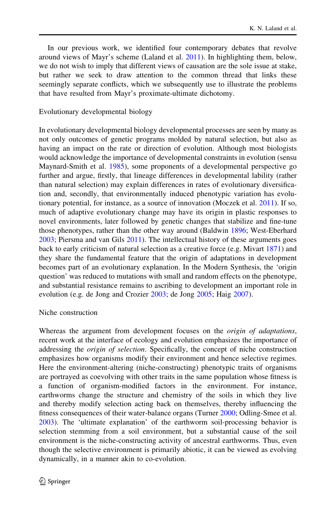In our previous work, we identified four contemporary debates that revolve around views of Mayr's scheme (Laland et al. [2011\)](#page-24-0). In highlighting them, below, we do not wish to imply that different views of causation are the sole issue at stake, but rather we seek to draw attention to the common thread that links these seemingly separate conflicts, which we subsequently use to illustrate the problems that have resulted from Mayr's proximate-ultimate dichotomy.

### Evolutionary developmental biology

In evolutionary developmental biology developmental processes are seen by many as not only outcomes of genetic programs molded by natural selection, but also as having an impact on the rate or direction of evolution. Although most biologists would acknowledge the importance of developmental constraints in evolution (sensu Maynard-Smith et al. [1985\)](#page-25-0), some proponents of a developmental perspective go further and argue, firstly, that lineage differences in developmental lability (rather than natural selection) may explain differences in rates of evolutionary diversification and, secondly, that environmentally induced phenotypic variation has evolutionary potential, for instance, as a source of innovation (Moczek et al. [2011](#page-25-0)). If so, much of adaptive evolutionary change may have its origin in plastic responses to novel environments, later followed by genetic changes that stabilize and fine-tune those phenotypes, rather than the other way around (Baldwin [1896;](#page-22-0) West-Eberhard [2003;](#page-26-0) Piersma and van Gils [2011\)](#page-25-0). The intellectual history of these arguments goes back to early criticism of natural selection as a creative force (e.g. Mivart [1871](#page-25-0)) and they share the fundamental feature that the origin of adaptations in development becomes part of an evolutionary explanation. In the Modern Synthesis, the 'origin question' was reduced to mutations with small and random effects on the phenotype, and substantial resistance remains to ascribing to development an important role in evolution (e.g. de Jong and Crozier [2003](#page-23-0); de Jong [2005](#page-23-0); Haig [2007\)](#page-23-0).

#### Niche construction

Whereas the argument from development focuses on the *origin of adaptations*, recent work at the interface of ecology and evolution emphasizes the importance of addressing the origin of selection. Specifically, the concept of niche construction emphasizes how organisms modify their environment and hence selective regimes. Here the environment-altering (niche-constructing) phenotypic traits of organisms are portrayed as coevolving with other traits in the same population whose fitness is a function of organism-modified factors in the environment. For instance, earthworms change the structure and chemistry of the soils in which they live and thereby modify selection acting back on themselves, thereby influencing the fitness consequences of their water-balance organs (Turner [2000](#page-26-0); Odling-Smee et al. [2003\)](#page-25-0). The 'ultimate explanation' of the earthworm soil-processing behavior is selection stemming from a soil environment, but a substantial cause of the soil environment is the niche-constructing activity of ancestral earthworms. Thus, even though the selective environment is primarily abiotic, it can be viewed as evolving dynamically, in a manner akin to co-evolution.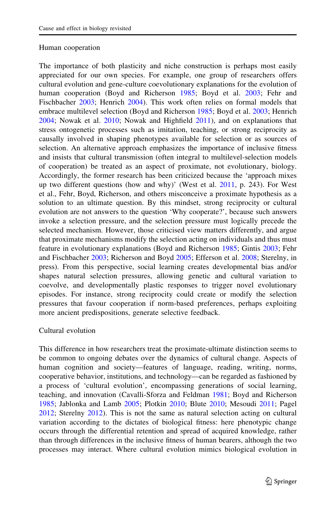#### Human cooperation

The importance of both plasticity and niche construction is perhaps most easily appreciated for our own species. For example, one group of researchers offers cultural evolution and gene-culture coevolutionary explanations for the evolution of human cooperation (Boyd and Richerson [1985](#page-22-0); Boyd et al. [2003;](#page-22-0) Fehr and Fischbacher [2003;](#page-23-0) Henrich [2004](#page-23-0)). This work often relies on formal models that embrace multilevel selection (Boyd and Richerson [1985](#page-22-0); Boyd et al. [2003;](#page-22-0) Henrich [2004;](#page-23-0) Nowak et al. [2010;](#page-25-0) Nowak and Highfield [2011](#page-25-0)), and on explanations that stress ontogenetic processes such as imitation, teaching, or strong reciprocity as causally involved in shaping phenotypes available for selection or as sources of selection. An alternative approach emphasizes the importance of inclusive fitness and insists that cultural transmission (often integral to multilevel-selection models of cooperation) be treated as an aspect of proximate, not evolutionary, biology. Accordingly, the former research has been criticized because the 'approach mixes up two different questions (how and why)' (West et al. [2011](#page-26-0), p. 243). For West et al., Fehr, Boyd, Richerson, and others misconceive a proximate hypothesis as a solution to an ultimate question. By this mindset, strong reciprocity or cultural evolution are not answers to the question 'Why cooperate?', because such answers invoke a selection pressure, and the selection pressure must logically precede the selected mechanism. However, those criticised view matters differently, and argue that proximate mechanisms modify the selection acting on individuals and thus must feature in evolutionary explanations (Boyd and Richerson [1985](#page-22-0); Gintis [2003](#page-23-0); Fehr and Fischbacher [2003;](#page-23-0) Richerson and Boyd [2005](#page-26-0); Efferson et al. [2008](#page-23-0); Sterelny, in press). From this perspective, social learning creates developmental bias and/or shapes natural selection pressures, allowing genetic and cultural variation to coevolve, and developmentally plastic responses to trigger novel evolutionary episodes. For instance, strong reciprocity could create or modify the selection pressures that favour cooperation if norm-based preferences, perhaps exploiting more ancient predispositions, generate selective feedback.

#### Cultural evolution

This difference in how researchers treat the proximate-ultimate distinction seems to be common to ongoing debates over the dynamics of cultural change. Aspects of human cognition and society—features of language, reading, writing, norms, cooperative behavior, institutions, and technology—can be regarded as fashioned by a process of 'cultural evolution', encompassing generations of social learning, teaching, and innovation (Cavalli-Sforza and Feldman [1981;](#page-22-0) Boyd and Richerson [1985;](#page-22-0) Jablonka and Lamb [2005;](#page-24-0) Plotkin [2010;](#page-25-0) Blute [2010](#page-22-0); Mesoudi [2011](#page-25-0); Pagel [2012;](#page-25-0) Sterelny [2012\)](#page-26-0). This is not the same as natural selection acting on cultural variation according to the dictates of biological fitness: here phenotypic change occurs through the differential retention and spread of acquired knowledge, rather than through differences in the inclusive fitness of human bearers, although the two processes may interact. Where cultural evolution mimics biological evolution in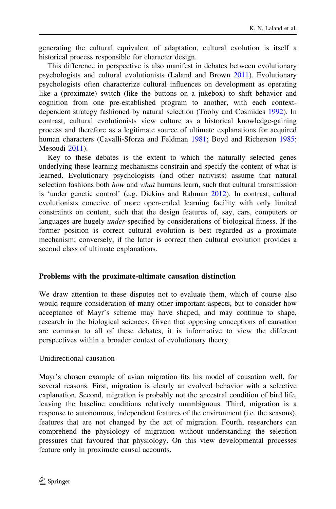generating the cultural equivalent of adaptation, cultural evolution is itself a historical process responsible for character design.

This difference in perspective is also manifest in debates between evolutionary psychologists and cultural evolutionists (Laland and Brown [2011\)](#page-24-0). Evolutionary psychologists often characterize cultural influences on development as operating like a (proximate) switch (like the buttons on a jukebox) to shift behavior and cognition from one pre-established program to another, with each contextdependent strategy fashioned by natural selection (Tooby and Cosmides [1992\)](#page-26-0). In contrast, cultural evolutionists view culture as a historical knowledge-gaining process and therefore as a legitimate source of ultimate explanations for acquired human characters (Cavalli-Sforza and Feldman [1981](#page-22-0); Boyd and Richerson [1985;](#page-22-0) Mesoudi [2011](#page-25-0)).

Key to these debates is the extent to which the naturally selected genes underlying these learning mechanisms constrain and specify the content of what is learned. Evolutionary psychologists (and other nativists) assume that natural selection fashions both *how* and *what* humans learn, such that cultural transmission is 'under genetic control' (e.g. Dickins and Rahman [2012](#page-23-0)). In contrast, cultural evolutionists conceive of more open-ended learning facility with only limited constraints on content, such that the design features of, say, cars, computers or languages are hugely *under*-specified by considerations of biological fitness. If the former position is correct cultural evolution is best regarded as a proximate mechanism; conversely, if the latter is correct then cultural evolution provides a second class of ultimate explanations.

#### Problems with the proximate-ultimate causation distinction

We draw attention to these disputes not to evaluate them, which of course also would require consideration of many other important aspects, but to consider how acceptance of Mayr's scheme may have shaped, and may continue to shape, research in the biological sciences. Given that opposing conceptions of causation are common to all of these debates, it is informative to view the different perspectives within a broader context of evolutionary theory.

# Unidirectional causation

Mayr's chosen example of avian migration fits his model of causation well, for several reasons. First, migration is clearly an evolved behavior with a selective explanation. Second, migration is probably not the ancestral condition of bird life, leaving the baseline conditions relatively unambiguous. Third, migration is a response to autonomous, independent features of the environment (i.e. the seasons), features that are not changed by the act of migration. Fourth, researchers can comprehend the physiology of migration without understanding the selection pressures that favoured that physiology. On this view developmental processes feature only in proximate causal accounts.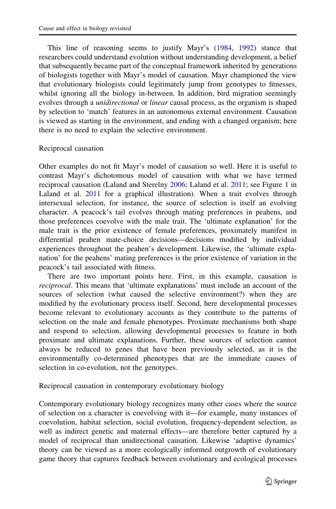This line of reasoning seems to justify Mayr's [\(1984](#page-25-0), [1992](#page-25-0)) stance that researchers could understand evolution without understanding development, a belief that subsequently became part of the conceptual framework inherited by generations of biologists together with Mayr's model of causation. Mayr championed the view that evolutionary biologists could legitimately jump from genotypes to fitnesses, whilst ignoring all the biology in-between. In addition, bird migration seemingly evolves through a *unidirectional* or *linear* causal process, as the organism is shaped by selection to 'match' features in an autonomous external environment. Causation is viewed as starting in the environment, and ending with a changed organism; here there is no need to explain the selective environment.

# Reciprocal causation

Other examples do not fit Mayr's model of causation so well. Here it is useful to contrast Mayr's dichotomous model of causation with what we have termed reciprocal causation (Laland and Sterelny [2006;](#page-24-0) Laland et al. [2011;](#page-24-0) see Figure 1 in Laland et al. [2011](#page-24-0) for a graphical illustration). When a trait evolves through intersexual selection, for instance, the source of selection is itself an evolving character. A peacock's tail evolves through mating preferences in peahens, and those preferences coevolve with the male trait. The 'ultimate explanation' for the male trait is the prior existence of female preferences, proximately manifest in differential peahen mate-choice decisions—decisions modified by individual experiences throughout the peahen's development. Likewise, the 'ultimate explanation' for the peahens' mating preferences is the prior existence of variation in the peacock's tail associated with fitness.

There are two important points here. First, in this example, causation is reciprocal. This means that 'ultimate explanations' must include an account of the sources of selection (what caused the selective environment?) when they are modified by the evolutionary process itself. Second, here developmental processes become relevant to evolutionary accounts as they contribute to the patterns of selection on the male and female phenotypes. Proximate mechanisms both shape and respond to selection, allowing developmental processes to feature in both proximate and ultimate explanations. Further, these sources of selection cannot always be reduced to genes that have been previously selected, as it is the environmentally co-determined phenotypes that are the immediate causes of selection in co-evolution, not the genotypes.

Reciprocal causation in contemporary evolutionary biology

Contemporary evolutionary biology recognizes many other cases where the source of selection on a character is coevolving with it—for example, many instances of coevolution, habitat selection, social evolution, frequency-dependent selection, as well as indirect genetic and maternal effects—are therefore better captured by a model of reciprocal than unidirectional causation. Likewise 'adaptive dynamics' theory can be viewed as a more ecologically informed outgrowth of evolutionary game theory that captures feedback between evolutionary and ecological processes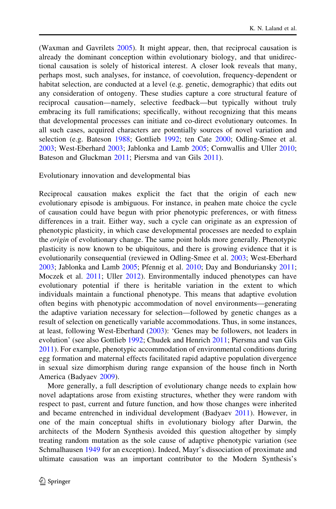(Waxman and Gavrilets [2005](#page-26-0)). It might appear, then, that reciprocal causation is already the dominant conception within evolutionary biology, and that unidirectional causation is solely of historical interest. A closer look reveals that many, perhaps most, such analyses, for instance, of coevolution, frequency-dependent or habitat selection, are conducted at a level (e.g. genetic, demographic) that edits out any consideration of ontogeny. These studies capture a core structural feature of reciprocal causation—namely, selective feedback—but typically without truly embracing its full ramifications; specifically, without recognizing that this means that developmental processes can initiate and co-direct evolutionary outcomes. In all such cases, acquired characters are potentially sources of novel variation and selection (e.g. Bateson [1988](#page-22-0); Gottlieb [1992;](#page-23-0) ten Cate [2000;](#page-26-0) Odling-Smee et al. [2003;](#page-25-0) West-Eberhard [2003](#page-26-0); Jablonka and Lamb [2005;](#page-24-0) Cornwallis and Uller [2010;](#page-22-0) Bateson and Gluckman [2011](#page-22-0); Piersma and van Gils [2011](#page-25-0)).

Evolutionary innovation and developmental bias

Reciprocal causation makes explicit the fact that the origin of each new evolutionary episode is ambiguous. For instance, in peahen mate choice the cycle of causation could have begun with prior phenotypic preferences, or with fitness differences in a trait. Either way, such a cycle can originate as an expression of phenotypic plasticity, in which case developmental processes are needed to explain the *origin* of evolutionary change. The same point holds more generally. Phenotypic plasticity is now known to be ubiquitous, and there is growing evidence that it is evolutionarily consequential (reviewed in Odling-Smee et al. [2003;](#page-25-0) West-Eberhard [2003;](#page-26-0) Jablonka and Lamb [2005;](#page-24-0) Pfennig et al. [2010](#page-25-0); Day and Bonduriansky [2011;](#page-23-0) Moczek et al. [2011;](#page-25-0) Uller [2012](#page-26-0)). Environmentally induced phenotypes can have evolutionary potential if there is heritable variation in the extent to which individuals maintain a functional phenotype. This means that adaptive evolution often begins with phenotypic accommodation of novel environments—generating the adaptive variation necessary for selection—followed by genetic changes as a result of selection on genetically variable accommodations. Thus, in some instances, at least, following West-Eberhard [\(2003](#page-26-0)): 'Genes may be followers, not leaders in evolution' (see also Gottlieb [1992](#page-23-0); Chudek and Henrich [2011;](#page-22-0) Piersma and van Gils [2011\)](#page-25-0). For example, phenotypic accommodation of environmental conditions during egg formation and maternal effects facilitated rapid adaptive population divergence in sexual size dimorphism during range expansion of the house finch in North America (Badyaev [2009\)](#page-22-0).

More generally, a full description of evolutionary change needs to explain how novel adaptations arose from existing structures, whether they were random with respect to past, current and future function, and how those changes were inherited and became entrenched in individual development (Badyaev [2011](#page-22-0)). However, in one of the main conceptual shifts in evolutionary biology after Darwin, the architects of the Modern Synthesis avoided this question altogether by simply treating random mutation as the sole cause of adaptive phenotypic variation (see Schmalhausen [1949](#page-26-0) for an exception). Indeed, Mayr's dissociation of proximate and ultimate causation was an important contributor to the Modern Synthesis's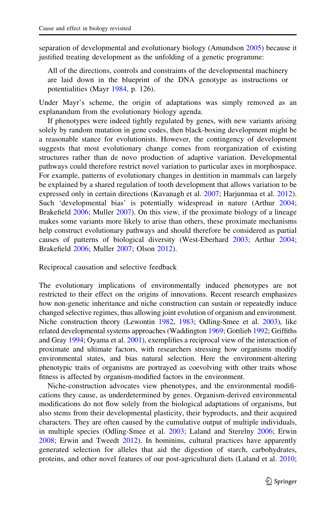separation of developmental and evolutionary biology (Amundson [2005](#page-22-0)) because it justified treating development as the unfolding of a genetic programme:

All of the directions, controls and constraints of the developmental machinery are laid down in the blueprint of the DNA genotype as instructions or potentialities (Mayr [1984,](#page-25-0) p. 126).

Under Mayr's scheme, the origin of adaptations was simply removed as an explanandum from the evolutionary biology agenda.

If phenotypes were indeed tightly regulated by genes, with new variants arising solely by random mutation in gene codes, then black-boxing development might be a reasonable stance for evolutionists. However, the contingency of development suggests that most evolutionary change comes from reorganization of existing structures rather than de novo production of adaptive variation. Developmental pathways could therefore restrict novel variation to particular axes in morphospace. For example, patterns of evolutionary changes in dentition in mammals can largely be explained by a shared regulation of tooth development that allows variation to be expressed only in certain directions (Kavanagh et al. [2007;](#page-24-0) Harjunmaa et al. [2012\)](#page-23-0). Such 'developmental bias' is potentially widespread in nature (Arthur [2004;](#page-22-0) Brakefield [2006;](#page-22-0) Muller [2007\)](#page-25-0). On this view, if the proximate biology of a lineage makes some variants more likely to arise than others, these proximate mechanisms help construct evolutionary pathways and should therefore be considered as partial causes of patterns of biological diversity (West-Eberhard [2003;](#page-26-0) Arthur [2004;](#page-22-0) Brakefield [2006;](#page-22-0) Muller [2007;](#page-25-0) Olson [2012\)](#page-25-0).

Reciprocal causation and selective feedback

The evolutionary implications of environmentally induced phenotypes are not restricted to their effect on the origins of innovations. Recent research emphasizes how non-genetic inheritance and niche construction can sustain or repeatedly induce changed selective regimes, thus allowing joint evolution of organism and environment. Niche construction theory (Lewontin [1982,](#page-24-0) [1983](#page-24-0); Odling-Smee et al. [2003](#page-25-0)), like related developmental systems approaches (Waddington [1969](#page-26-0); Gottlieb [1992](#page-23-0); Griffiths and Gray [1994](#page-23-0); Oyama et al. [2001\)](#page-25-0), exemplifies a reciprocal view of the interaction of proximate and ultimate factors, with researchers stressing how organisms modify environmental states, and bias natural selection. Here the environment-altering phenotypic traits of organisms are portrayed as coevolving with other traits whose fitness is affected by organism-modified factors in the environment.

Niche-construction advocates view phenotypes, and the environmental modifications they cause, as underdetermined by genes. Organism-derived environmental modifications do not flow solely from the biological adaptations of organisms, but also stems from their developmental plasticity, their byproducts, and their acquired characters. They are often caused by the cumulative output of multiple individuals, in multiple species (Odling-Smee et al. [2003;](#page-25-0) Laland and Sterelny [2006;](#page-24-0) Erwin [2008;](#page-23-0) Erwin and Tweedt [2012](#page-23-0)). In hominins, cultural practices have apparently generated selection for alleles that aid the digestion of starch, carbohydrates, proteins, and other novel features of our post-agricultural diets (Laland et al. [2010;](#page-24-0)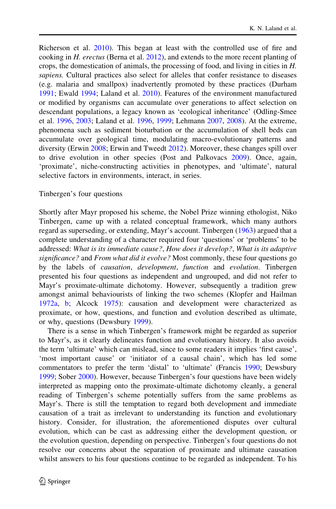Richerson et al. [2010\)](#page-26-0). This began at least with the controlled use of fire and cooking in H. erectus (Berna et al. [2012](#page-22-0)), and extends to the more recent planting of crops, the domestication of animals, the processing of food, and living in cities in H. sapiens. Cultural practices also select for alleles that confer resistance to diseases (e.g. malaria and smallpox) inadvertently promoted by these practices (Durham [1991;](#page-23-0) Ewald [1994;](#page-23-0) Laland et al. [2010](#page-24-0)). Features of the environment manufactured or modified by organisms can accumulate over generations to affect selection on descendant populations, a legacy known as 'ecological inheritance' (Odling-Smee et al. [1996,](#page-25-0) [2003](#page-25-0); Laland et al. [1996](#page-24-0), [1999;](#page-24-0) Lehmann [2007](#page-24-0), [2008\)](#page-24-0). At the extreme, phenomena such as sediment bioturbation or the accumulation of shell beds can accumulate over geological time, modulating macro-evolutionary patterns and diversity (Erwin [2008;](#page-23-0) Erwin and Tweedt [2012](#page-23-0)). Moreover, these changes spill over to drive evolution in other species (Post and Palkovacs [2009\)](#page-26-0). Once, again, 'proximate', niche-constructing activities in phenotypes, and 'ultimate', natural selective factors in environments, interact, in series.

#### Tinbergen's four questions

Shortly after Mayr proposed his scheme, the Nobel Prize winning ethologist, Niko Tinbergen, came up with a related conceptual framework, which many authors regard as superseding, or extending, Mayr's account. Tinbergen [\(1963](#page-26-0)) argued that a complete understanding of a character required four 'questions' or 'problems' to be addressed: What is its immediate cause?, How does it develop?, What is its adaptive significance? and From what did it evolve? Most commonly, these four questions go by the labels of causation, development, function and evolution. Tinbergen presented his four questions as independent and ungrouped, and did not refer to Mayr's proximate-ultimate dichotomy. However, subsequently a tradition grew amongst animal behaviourists of linking the two schemes (Klopfer and Hailman [1972a](#page-24-0), [b;](#page-24-0) Alcock [1975](#page-22-0)): causation and development were characterized as proximate, or how, questions, and function and evolution described as ultimate, or why, questions (Dewsbury [1999](#page-23-0)).

There is a sense in which Tinbergen's framework might be regarded as superior to Mayr's, as it clearly delineates function and evolutionary history. It also avoids the term 'ultimate' which can mislead, since to some readers it implies 'first cause', 'most important cause' or 'initiator of a causal chain', which has led some commentators to prefer the term 'distal' to 'ultimate' (Francis [1990;](#page-23-0) Dewsbury [1999;](#page-23-0) Sober [2000](#page-26-0)). However, because Tinbergen's four questions have been widely interpreted as mapping onto the proximate-ultimate dichotomy cleanly, a general reading of Tinbergen's scheme potentially suffers from the same problems as Mayr's. There is still the temptation to regard both development and immediate causation of a trait as irrelevant to understanding its function and evolutionary history. Consider, for illustration, the aforementioned disputes over cultural evolution, which can be cast as addressing either the development question, or the evolution question, depending on perspective. Tinbergen's four questions do not resolve our concerns about the separation of proximate and ultimate causation whilst answers to his four questions continue to be regarded as independent. To his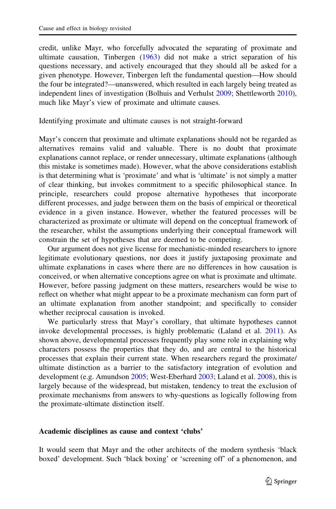credit, unlike Mayr, who forcefully advocated the separating of proximate and ultimate causation, Tinbergen  $(1963)$  $(1963)$  did not make a strict separation of his questions necessary, and actively encouraged that they should all be asked for a given phenotype. However, Tinbergen left the fundamental question—How should the four be integrated?—unanswered, which resulted in each largely being treated as independent lines of investigation (Bolhuis and Verhulst [2009;](#page-22-0) Shettleworth [2010\)](#page-26-0), much like Mayr's view of proximate and ultimate causes.

Identifying proximate and ultimate causes is not straight-forward

Mayr's concern that proximate and ultimate explanations should not be regarded as alternatives remains valid and valuable. There is no doubt that proximate explanations cannot replace, or render unnecessary, ultimate explanations (although this mistake is sometimes made). However, what the above considerations establish is that determining what is 'proximate' and what is 'ultimate' is not simply a matter of clear thinking, but invokes commitment to a specific philosophical stance. In principle, researchers could propose alternative hypotheses that incorporate different processes, and judge between them on the basis of empirical or theoretical evidence in a given instance. However, whether the featured processes will be characterized as proximate or ultimate will depend on the conceptual framework of the researcher, whilst the assumptions underlying their conceptual framework will constrain the set of hypotheses that are deemed to be competing.

Our argument does not give license for mechanistic-minded researchers to ignore legitimate evolutionary questions, nor does it justify juxtaposing proximate and ultimate explanations in cases where there are no differences in how causation is conceived, or when alternative conceptions agree on what is proximate and ultimate. However, before passing judgment on these matters, researchers would be wise to reflect on whether what might appear to be a proximate mechanism can form part of an ultimate explanation from another standpoint; and specifically to consider whether reciprocal causation is invoked.

We particularly stress that Mayr's corollary, that ultimate hypotheses cannot invoke developmental processes, is highly problematic (Laland et al. [2011\)](#page-24-0). As shown above, developmental processes frequently play some role in explaining why characters possess the properties that they do, and are central to the historical processes that explain their current state. When researchers regard the proximate/ ultimate distinction as a barrier to the satisfactory integration of evolution and development (e.g. Amundson [2005](#page-22-0); West-Eberhard [2003;](#page-26-0) Laland et al. [2008\)](#page-24-0), this is largely because of the widespread, but mistaken, tendency to treat the exclusion of proximate mechanisms from answers to why-questions as logically following from the proximate-ultimate distinction itself.

#### Academic disciplines as cause and context 'clubs'

It would seem that Mayr and the other architects of the modern synthesis 'black boxed' development. Such 'black boxing' or 'screening off' of a phenomenon, and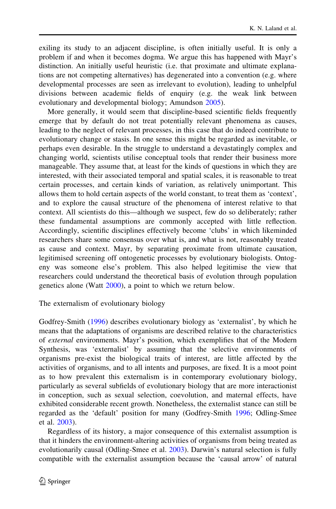exiling its study to an adjacent discipline, is often initially useful. It is only a problem if and when it becomes dogma. We argue this has happened with Mayr's distinction. An initially useful heuristic (i.e. that proximate and ultimate explanations are not competing alternatives) has degenerated into a convention (e.g. where developmental processes are seen as irrelevant to evolution), leading to unhelpful divisions between academic fields of enquiry (e.g. the weak link between evolutionary and developmental biology; Amundson [2005\)](#page-22-0).

More generally, it would seem that discipline-based scientific fields frequently emerge that by default do not treat potentially relevant phenomena as causes, leading to the neglect of relevant processes, in this case that do indeed contribute to evolutionary change or stasis. In one sense this might be regarded as inevitable, or perhaps even desirable. In the struggle to understand a devastatingly complex and changing world, scientists utilise conceptual tools that render their business more manageable. They assume that, at least for the kinds of questions in which they are interested, with their associated temporal and spatial scales, it is reasonable to treat certain processes, and certain kinds of variation, as relatively unimportant. This allows them to hold certain aspects of the world constant, to treat them as 'context', and to explore the causal structure of the phenomena of interest relative to that context. All scientists do this—although we suspect, few do so deliberately; rather these fundamental assumptions are commonly accepted with little reflection. Accordingly, scientific disciplines effectively become 'clubs' in which likeminded researchers share some consensus over what is, and what is not, reasonably treated as cause and context. Mayr, by separating proximate from ultimate causation, legitimised screening off ontogenetic processes by evolutionary biologists. Ontogeny was someone else's problem. This also helped legitimise the view that researchers could understand the theoretical basis of evolution through population genetics alone (Watt [2000](#page-26-0)), a point to which we return below.

# The externalism of evolutionary biology

Godfrey-Smith [\(1996\)](#page-23-0) describes evolutionary biology as 'externalist', by which he means that the adaptations of organisms are described relative to the characteristics of external environments. Mayr's position, which exemplifies that of the Modern Synthesis, was 'externalist' by assuming that the selective environments of organisms pre-exist the biological traits of interest, are little affected by the activities of organisms, and to all intents and purposes, are fixed. It is a moot point as to how prevalent this externalism is in contemporary evolutionary biology, particularly as several subfields of evolutionary biology that are more interactionist in conception, such as sexual selection, coevolution, and maternal effects, have exhibited considerable recent growth. Nonetheless, the externalist stance can still be regarded as the 'default' position for many (Godfrey-Smith [1996;](#page-23-0) Odling-Smee et al. [2003\)](#page-25-0).

Regardless of its history, a major consequence of this externalist assumption is that it hinders the environment-altering activities of organisms from being treated as evolutionarily causal (Odling-Smee et al. [2003](#page-25-0)). Darwin's natural selection is fully compatible with the externalist assumption because the 'causal arrow' of natural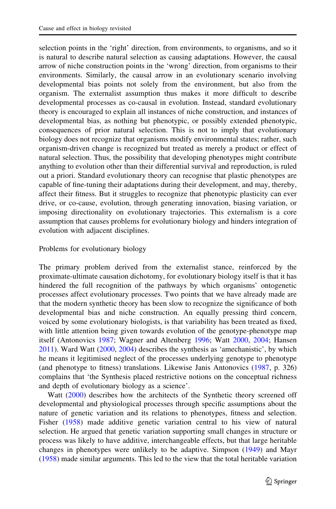selection points in the 'right' direction, from environments, to organisms, and so it is natural to describe natural selection as causing adaptations. However, the causal arrow of niche construction points in the 'wrong' direction, from organisms to their environments. Similarly, the causal arrow in an evolutionary scenario involving developmental bias points not solely from the environment, but also from the organism. The externalist assumption thus makes it more difficult to describe developmental processes as co-causal in evolution. Instead, standard evolutionary theory is encouraged to explain all instances of niche construction, and instances of developmental bias, as nothing but phenotypic, or possibly extended phenotypic, consequences of prior natural selection. This is not to imply that evolutionary biology does not recognize that organisms modify environmental states; rather, such organism-driven change is recognized but treated as merely a product or effect of natural selection. Thus, the possibility that developing phenotypes might contribute anything to evolution other than their differential survival and reproduction, is ruled out a priori. Standard evolutionary theory can recognise that plastic phenotypes are capable of fine-tuning their adaptations during their development, and may, thereby, affect their fitness. But it struggles to recognize that phenotypic plasticity can ever drive, or co-cause, evolution, through generating innovation, biasing variation, or imposing directionality on evolutionary trajectories. This externalism is a core assumption that causes problems for evolutionary biology and hinders integration of evolution with adjacent disciplines.

# Problems for evolutionary biology

The primary problem derived from the externalist stance, reinforced by the proximate-ultimate causation dichotomy, for evolutionary biology itself is that it has hindered the full recognition of the pathways by which organisms' ontogenetic processes affect evolutionary processes. Two points that we have already made are that the modern synthetic theory has been slow to recognize the significance of both developmental bias and niche construction. An equally pressing third concern, voiced by some evolutionary biologists, is that variability has been treated as fixed, with little attention being given towards evolution of the genotype-phenotype map itself (Antonovics [1987;](#page-22-0) Wagner and Altenberg [1996](#page-26-0); Watt [2000,](#page-26-0) [2004](#page-26-0); Hansen [2011\)](#page-23-0). Ward Watt [\(2000](#page-26-0), [2004](#page-26-0)) describes the synthesis as 'amechanistic', by which he means it legitimised neglect of the processes underlying genotype to phenotype (and phenotype to fitness) translations. Likewise Janis Antonovics [\(1987](#page-22-0), p. 326) complains that 'the Synthesis placed restrictive notions on the conceptual richness and depth of evolutionary biology as a science'.

Watt [\(2000](#page-26-0)) describes how the architects of the Synthetic theory screened off developmental and physiological processes through specific assumptions about the nature of genetic variation and its relations to phenotypes, fitness and selection. Fisher [\(1958](#page-23-0)) made additive genetic variation central to his view of natural selection. He argued that genetic variation supporting small changes in structure or process was likely to have additive, interchangeable effects, but that large heritable changes in phenotypes were unlikely to be adaptive. Simpson [\(1949](#page-26-0)) and Mayr [\(1958](#page-25-0)) made similar arguments. This led to the view that the total heritable variation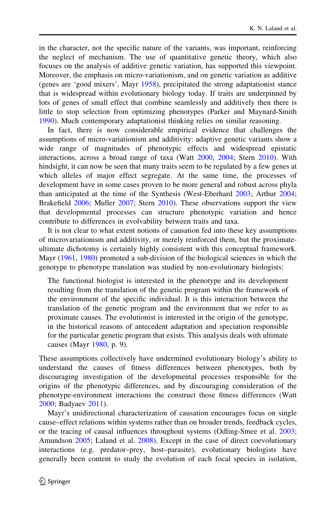in the character, not the specific nature of the variants, was important, reinforcing the neglect of mechanism. The use of quantitative genetic theory, which also focuses on the analysis of additive genetic variation, has supported this viewpoint. Moreover, the emphasis on micro-variationism, and on genetic variation as additive (genes are 'good mixers', Mayr [1958](#page-25-0)), precipitated the strong adaptationist stance that is widespread within evolutionary biology today. If traits are underpinned by lots of genes of small effect that combine seamlessly and additively then there is little to stop selection from optimizing phenotypes (Parker and Maynard-Smith [1990\)](#page-25-0). Much contemporary adaptationist thinking relies on similar reasoning.

In fact, there is now considerable empirical evidence that challenges the assumptions of micro-variationism and additivity: adaptive genetic variants show a wide range of magnitudes of phenotypic effects and widespread epistatic interactions, across a broad range of taxa (Watt [2000](#page-26-0), [2004](#page-26-0); Stern [2010](#page-26-0)). With hindsight, it can now be seen that many traits seem to be regulated by a few genes at which alleles of major effect segregate. At the same time, the processes of development have in some cases proven to be more general and robust across phyla than anticipated at the time of the Synthesis (West-Eberhard [2003](#page-26-0); Arthur [2004;](#page-22-0) Brakefield [2006;](#page-22-0) Muller [2007;](#page-25-0) Stern [2010](#page-26-0)). These observations support the view that developmental processes can structure phenotypic variation and hence contribute to differences in evolvability between traits and taxa.

It is not clear to what extent notions of causation fed into these key assumptions of microvariationism and additivity, or merely reinforced them, but the proximateultimate dichotomy is certainly highly consistent with this conceptual framework. Mayr ([1961,](#page-25-0) [1980](#page-25-0)) promoted a sub-division of the biological sciences in which the genotype to phenotype translation was studied by non-evolutionary biologists:

The functional biologist is interested in the phenotype and its development resulting from the translation of the genetic program within the framework of the environment of the specific individual. It is this interaction between the translation of the genetic program and the environment that we refer to as proximate causes. The evolutionist is interested in the origin of the genotype, in the historical reasons of antecedent adaptation and speciation responsible for the particular genetic program that exists. This analysis deals with ultimate causes (Mayr [1980](#page-25-0), p. 9).

These assumptions collectively have undermined evolutionary biology's ability to understand the causes of fitness differences between phenotypes, both by discouraging investigation of the developmental processes responsible for the origins of the phenotypic differences, and by discouraging consideration of the phenotype-environment interactions the construct those fitness differences (Watt [2000;](#page-26-0) Badyaev [2011](#page-22-0)).

Mayr's unidirectional characterization of causation encourages focus on single cause–effect relations within systems rather than on broader trends, feedback cycles, or the tracing of causal influences throughout systems (Odling-Smee et al. [2003;](#page-25-0) Amundson [2005](#page-22-0); Laland et al. [2008\)](#page-24-0). Except in the case of direct coevolutionary interactions (e.g. predator–prey, host–parasite), evolutionary biologists have generally been content to study the evolution of each focal species in isolation,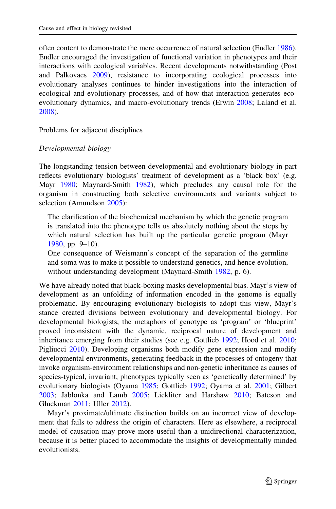often content to demonstrate the mere occurrence of natural selection (Endler [1986\)](#page-23-0). Endler encouraged the investigation of functional variation in phenotypes and their interactions with ecological variables. Recent developments notwithstanding (Post and Palkovacs [2009\)](#page-26-0), resistance to incorporating ecological processes into evolutionary analyses continues to hinder investigations into the interaction of ecological and evolutionary processes, and of how that interaction generates ecoevolutionary dynamics, and macro-evolutionary trends (Erwin [2008;](#page-23-0) Laland et al. [2008\)](#page-24-0).

Problems for adjacent disciplines

# Developmental biology

The longstanding tension between developmental and evolutionary biology in part reflects evolutionary biologists' treatment of development as a 'black box' (e.g. Mayr [1980;](#page-25-0) Maynard-Smith [1982](#page-24-0)), which precludes any causal role for the organism in constructing both selective environments and variants subject to selection (Amundson [2005](#page-22-0)):

The clarification of the biochemical mechanism by which the genetic program is translated into the phenotype tells us absolutely nothing about the steps by which natural selection has built up the particular genetic program (Mayr [1980](#page-25-0), pp. 9–10).

One consequence of Weismann's concept of the separation of the germline and soma was to make it possible to understand genetics, and hence evolution, without understanding development (Maynard-Smith [1982](#page-24-0), p. 6).

We have already noted that black-boxing masks developmental bias. Mayr's view of development as an unfolding of information encoded in the genome is equally problematic. By encouraging evolutionary biologists to adopt this view, Mayr's stance created divisions between evolutionary and developmental biology. For developmental biologists, the metaphors of genotype as 'program' or 'blueprint' proved inconsistent with the dynamic, reciprocal nature of development and inheritance emerging from their studies (see e.g. Gottlieb [1992;](#page-23-0) Hood et al. [2010;](#page-24-0) Pigliucci [2010\)](#page-25-0). Developing organisms both modify gene expression and modify developmental environments, generating feedback in the processes of ontogeny that invoke organism-environment relationships and non-genetic inheritance as causes of species-typical, invariant, phenotypes typically seen as 'genetically determined' by evolutionary biologists (Oyama [1985;](#page-25-0) Gottlieb [1992](#page-23-0); Oyama et al. [2001](#page-25-0); Gilbert [2003;](#page-23-0) Jablonka and Lamb [2005;](#page-24-0) Lickliter and Harshaw [2010;](#page-24-0) Bateson and Gluckman [2011;](#page-22-0) Uller [2012](#page-26-0)).

Mayr's proximate/ultimate distinction builds on an incorrect view of development that fails to address the origin of characters. Here as elsewhere, a reciprocal model of causation may prove more useful than a unidirectional characterization, because it is better placed to accommodate the insights of developmentally minded evolutionists.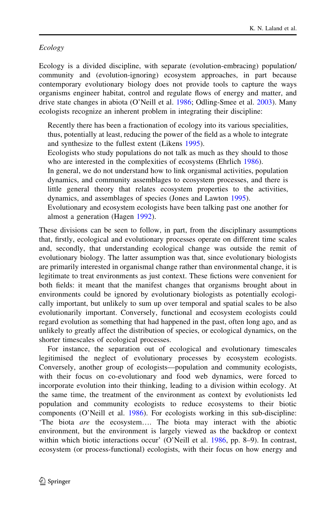# Ecology

Ecology is a divided discipline, with separate (evolution-embracing) population/ community and (evolution-ignoring) ecosystem approaches, in part because contemporary evolutionary biology does not provide tools to capture the ways organisms engineer habitat, control and regulate flows of energy and matter, and drive state changes in abiota (O'Neill et al. [1986](#page-25-0); Odling-Smee et al. [2003](#page-25-0)). Many ecologists recognize an inherent problem in integrating their discipline:

Recently there has been a fractionation of ecology into its various specialities, thus, potentially at least, reducing the power of the field as a whole to integrate and synthesize to the fullest extent (Likens [1995\)](#page-24-0).

Ecologists who study populations do not talk as much as they should to those who are interested in the complexities of ecosystems (Ehrlich [1986\)](#page-23-0).

In general, we do not understand how to link organismal activities, population dynamics, and community assemblages to ecosystem processes, and there is little general theory that relates ecosystem properties to the activities, dynamics, and assemblages of species (Jones and Lawton [1995\)](#page-24-0).

Evolutionary and ecosystem ecologists have been talking past one another for almost a generation (Hagen [1992\)](#page-23-0).

These divisions can be seen to follow, in part, from the disciplinary assumptions that, firstly, ecological and evolutionary processes operate on different time scales and, secondly, that understanding ecological change was outside the remit of evolutionary biology. The latter assumption was that, since evolutionary biologists are primarily interested in organismal change rather than environmental change, it is legitimate to treat environments as just context. These fictions were convenient for both fields: it meant that the manifest changes that organisms brought about in environments could be ignored by evolutionary biologists as potentially ecologically important, but unlikely to sum up over temporal and spatial scales to be also evolutionarily important. Conversely, functional and ecosystem ecologists could regard evolution as something that had happened in the past, often long ago, and as unlikely to greatly affect the distribution of species, or ecological dynamics, on the shorter timescales of ecological processes.

For instance, the separation out of ecological and evolutionary timescales legitimised the neglect of evolutionary processes by ecosystem ecologists. Conversely, another group of ecologists—population and community ecologists, with their focus on co-evolutionary and food web dynamics, were forced to incorporate evolution into their thinking, leading to a division within ecology. At the same time, the treatment of the environment as context by evolutionists led population and community ecologists to reduce ecosystems to their biotic components (O'Neill et al. [1986\)](#page-25-0). For ecologists working in this sub-discipline: 'The biota are the ecosystem…. The biota may interact with the abiotic environment, but the environment is largely viewed as the backdrop or context within which biotic interactions occur' (O'Neill et al. [1986,](#page-25-0) pp. 8–9). In contrast, ecosystem (or process-functional) ecologists, with their focus on how energy and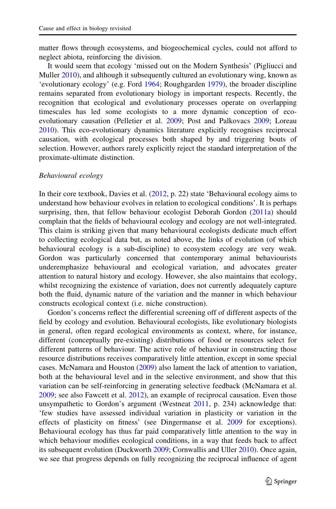matter flows through ecosystems, and biogeochemical cycles, could not afford to neglect abiota, reinforcing the division.

It would seem that ecology 'missed out on the Modern Synthesis' (Pigliucci and Muller [2010\)](#page-25-0), and although it subsequently cultured an evolutionary wing, known as 'evolutionary ecology' (e.g. Ford [1964;](#page-23-0) Roughgarden [1979\)](#page-26-0), the broader discipline remains separated from evolutionary biology in important respects. Recently, the recognition that ecological and evolutionary processes operate on overlapping timescales has led some ecologists to a more dynamic conception of ecoevolutionary causation (Pelletier et al. [2009;](#page-25-0) Post and Palkovacs [2009](#page-26-0); Loreau [2010\)](#page-24-0). This eco-evolutionary dynamics literature explicitly recognises reciprocal causation, with ecological processes both shaped by and triggering bouts of selection. However, authors rarely explicitly reject the standard interpretation of the proximate-ultimate distinction.

#### Behavioural ecology

In their core textbook, Davies et al. [\(2012](#page-22-0), p. 22) state 'Behavioural ecology aims to understand how behaviour evolves in relation to ecological conditions'. It is perhaps surprising, then, that fellow behaviour ecologist Deborah Gordon ([2011a](#page-23-0)) should complain that the fields of behavioural ecology and ecology are not well-integrated. This claim is striking given that many behavioural ecologists dedicate much effort to collecting ecological data but, as noted above, the links of evolution (of which behavioural ecology is a sub-discipline) to ecosystem ecology are very weak. Gordon was particularly concerned that contemporary animal behaviourists underemphasize behavioural and ecological variation, and advocates greater attention to natural history and ecology. However, she also maintains that ecology, whilst recognizing the existence of variation, does not currently adequately capture both the fluid, dynamic nature of the variation and the manner in which behaviour constructs ecological context (i.e. niche construction).

Gordon's concerns reflect the differential screening off of different aspects of the field by ecology and evolution. Behavioural ecologists, like evolutionary biologists in general, often regard ecological environments as context, where, for instance, different (conceptually pre-existing) distributions of food or resources select for different patterns of behaviour. The active role of behaviour in constructing those resource distributions receives comparatively little attention, except in some special cases. McNamara and Houston ([2009\)](#page-25-0) also lament the lack of attention to variation, both at the behavioural level and in the selective environment, and show that this variation can be self-reinforcing in generating selective feedback (McNamara et al. [2009;](#page-25-0) see also Fawcett et al. [2012\)](#page-23-0), an example of reciprocal causation. Even those unsympathetic to Gordon's argument (Westneat [2011](#page-26-0), p. 234) acknowledge that: 'few studies have assessed individual variation in plasticity or variation in the effects of plasticity on fitness' (see Dingermanse et al. [2009](#page-23-0) for exceptions). Behavioural ecology has thus far paid comparatively little attention to the way in which behaviour modifies ecological conditions, in a way that feeds back to affect its subsequent evolution (Duckworth [2009;](#page-23-0) Cornwallis and Uller [2010](#page-22-0)). Once again, we see that progress depends on fully recognizing the reciprocal influence of agent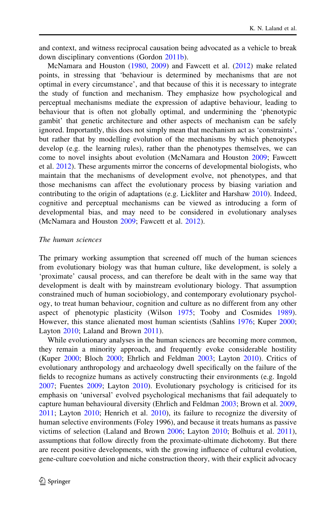and context, and witness reciprocal causation being advocated as a vehicle to break down disciplinary conventions (Gordon [2011b\)](#page-23-0).

McNamara and Houston [\(1980](#page-25-0), [2009\)](#page-25-0) and Fawcett et al. ([2012\)](#page-23-0) make related points, in stressing that 'behaviour is determined by mechanisms that are not optimal in every circumstance', and that because of this it is necessary to integrate the study of function and mechanism. They emphasize how psychological and perceptual mechanisms mediate the expression of adaptive behaviour, leading to behaviour that is often not globally optimal, and undermining the 'phenotypic gambit' that genetic architecture and other aspects of mechanism can be safely ignored. Importantly, this does not simply mean that mechanism act as 'constraints', but rather that by modelling evolution of the mechanisms by which phenotypes develop (e.g. the learning rules), rather than the phenotypes themselves, we can come to novel insights about evolution (McNamara and Houston [2009;](#page-25-0) Fawcett et al. [2012](#page-23-0)). These arguments mirror the concerns of developmental biologists, who maintain that the mechanisms of development evolve, not phenotypes, and that those mechanisms can affect the evolutionary process by biasing variation and contributing to the origin of adaptations (e.g. Lickliter and Harshaw [2010\)](#page-24-0). Indeed, cognitive and perceptual mechanisms can be viewed as introducing a form of developmental bias, and may need to be considered in evolutionary analyses (McNamara and Houston [2009;](#page-25-0) Fawcett et al. [2012](#page-23-0)).

#### The human sciences

The primary working assumption that screened off much of the human sciences from evolutionary biology was that human culture, like development, is solely a 'proximate' causal process, and can therefore be dealt with in the same way that development is dealt with by mainstream evolutionary biology. That assumption constrained much of human sociobiology, and contemporary evolutionary psychology, to treat human behaviour, cognition and culture as no different from any other aspect of phenotypic plasticity (Wilson [1975](#page-26-0); Tooby and Cosmides [1989\)](#page-26-0). However, this stance alienated most human scientists (Sahlins [1976;](#page-26-0) Kuper [2000;](#page-24-0) Layton [2010;](#page-24-0) Laland and Brown [2011](#page-24-0)).

While evolutionary analyses in the human sciences are becoming more common, they remain a minority approach, and frequently evoke considerable hostility (Kuper [2000;](#page-24-0) Bloch [2000](#page-22-0); Ehrlich and Feldman [2003;](#page-23-0) Layton [2010\)](#page-24-0). Critics of evolutionary anthropology and archaeology dwell specifically on the failure of the fields to recognize humans as actively constructing their environments (e.g. Ingold [2007;](#page-24-0) Fuentes [2009;](#page-23-0) Layton [2010](#page-24-0)). Evolutionary psychology is criticised for its emphasis on 'universal' evolved psychological mechanisms that fail adequately to capture human behavioural diversity (Ehrlich and Feldman [2003](#page-23-0); Brown et al. [2009,](#page-22-0) [2011;](#page-22-0) Layton [2010;](#page-24-0) Henrich et al. [2010](#page-23-0)), its failure to recognize the diversity of human selective environments (Foley 1996), and because it treats humans as passive victims of selection (Laland and Brown [2006;](#page-24-0) Layton [2010](#page-24-0); Bolhuis et al. [2011\)](#page-22-0), assumptions that follow directly from the proximate-ultimate dichotomy. But there are recent positive developments, with the growing influence of cultural evolution, gene-culture coevolution and niche construction theory, with their explicit advocacy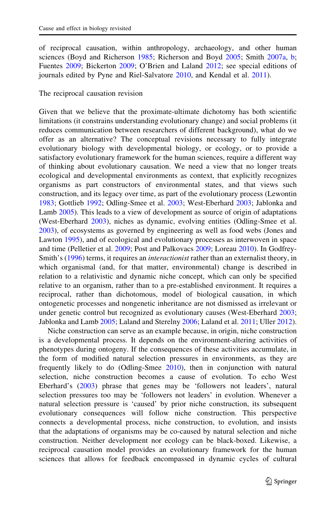of reciprocal causation, within anthropology, archaeology, and other human sciences (Boyd and Richerson [1985](#page-22-0); Richerson and Boyd [2005](#page-26-0); Smith [2007a](#page-26-0), [b;](#page-26-0) Fuentes [2009;](#page-23-0) Bickerton [2009;](#page-22-0) O'Brien and Laland [2012](#page-25-0); see special editions of journals edited by Pyne and Riel-Salvatore [2010](#page-26-0), and Kendal et al. [2011](#page-24-0)).

The reciprocal causation revision

Given that we believe that the proximate-ultimate dichotomy has both scientific limitations (it constrains understanding evolutionary change) and social problems (it reduces communication between researchers of different background), what do we offer as an alternative? The conceptual revisions necessary to fully integrate evolutionary biology with developmental biology, or ecology, or to provide a satisfactory evolutionary framework for the human sciences, require a different way of thinking about evolutionary causation. We need a view that no longer treats ecological and developmental environments as context, that explicitly recognizes organisms as part constructors of environmental states, and that views such construction, and its legacy over time, as part of the evolutionary process (Lewontin [1983;](#page-24-0) Gottlieb [1992](#page-23-0); Odling-Smee et al. [2003](#page-25-0); West-Eberhard [2003](#page-26-0); Jablonka and Lamb [2005](#page-24-0)). This leads to a view of development as source of origin of adaptations (West-Eberhard [2003](#page-26-0)), niches as dynamic, evolving entities (Odling-Smee et al. [2003\)](#page-25-0), of ecosystems as governed by engineering as well as food webs (Jones and Lawton [1995](#page-24-0)), and of ecological and evolutionary processes as interwoven in space and time (Pelletier et al. [2009](#page-25-0); Post and Palkovacs [2009;](#page-26-0) Loreau [2010](#page-24-0)). In Godfrey-Smith's ([1996\)](#page-23-0) terms, it requires an *interactionist* rather than an externalist theory, in which organismal (and, for that matter, environmental) change is described in relation to a relativistic and dynamic niche concept, which can only be specified relative to an organism, rather than to a pre-established environment. It requires a reciprocal, rather than dichotomous, model of biological causation, in which ontogenetic processes and nongenetic inheritance are not dismissed as irrelevant or under genetic control but recognized as evolutionary causes (West-Eberhard [2003;](#page-26-0) Jablonka and Lamb [2005;](#page-24-0) Laland and Sterelny [2006](#page-24-0); Laland et al. [2011;](#page-24-0) Uller [2012\)](#page-26-0).

Niche construction can serve as an example because, in origin, niche construction is a developmental process. It depends on the environment-altering activities of phenotypes during ontogeny. If the consequences of these activities accumulate, in the form of modified natural selection pressures in environments, as they are frequently likely to do (Odling-Smee [2010\)](#page-25-0), then in conjunction with natural selection, niche construction becomes a cause of evolution. To echo West Eberhard's [\(2003](#page-26-0)) phrase that genes may be 'followers not leaders', natural selection pressures too may be 'followers not leaders' in evolution. Whenever a natural selection pressure is 'caused' by prior niche construction, its subsequent evolutionary consequences will follow niche construction. This perspective connects a developmental process, niche construction, to evolution, and insists that the adaptations of organisms may be co-caused by natural selection and niche construction. Neither development nor ecology can be black-boxed. Likewise, a reciprocal causation model provides an evolutionary framework for the human sciences that allows for feedback encompassed in dynamic cycles of cultural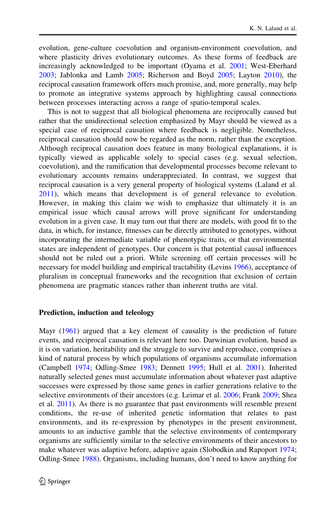evolution, gene-culture coevolution and organism-environment coevolution, and where plasticity drives evolutionary outcomes. As these forms of feedback are increasingly acknowledged to be important (Oyama et al. [2001](#page-25-0); West-Eberhard [2003;](#page-26-0) Jablonka and Lamb [2005](#page-24-0); Richerson and Boyd [2005;](#page-26-0) Layton [2010](#page-24-0)), the reciprocal causation framework offers much promise, and, more generally, may help to promote an integrative systems approach by highlighting causal connections between processes interacting across a range of spatio-temporal scales.

This is not to suggest that all biological phenomena are reciprocally caused but rather that the unidirectional selection emphasized by Mayr should be viewed as a special case of reciprocal causation where feedback is negligible. Nonetheless, reciprocal causation should now be regarded as the norm, rather than the exception. Although reciprocal causation does feature in many biological explanations, it is typically viewed as applicable solely to special cases (e.g. sexual selection, coevolution), and the ramification that developmental processes become relevant to evolutionary accounts remains underappreciated. In contrast, we suggest that reciprocal causation is a very general property of biological systems (Laland et al. [2011\)](#page-24-0), which means that development is of general relevance to evolution. However, in making this claim we wish to emphasize that ultimately it is an empirical issue which causal arrows will prove significant for understanding evolution in a given case. It may turn out that there are models, with good fit to the data, in which, for instance, fitnesses can be directly attributed to genotypes, without incorporating the intermediate variable of phenotypic traits, or that environmental states are independent of genotypes. Our concern is that potential causal influences should not be ruled out a priori. While screening off certain processes will be necessary for model building and empirical tractability (Levins [1966](#page-24-0)), acceptance of pluralism in conceptual frameworks and the recognition that exclusion of certain phenomena are pragmatic stances rather than inherent truths are vital.

#### Prediction, induction and teleology

Mayr ([1961\)](#page-25-0) argued that a key element of causality is the prediction of future events, and reciprocal causation is relevant here too. Darwinian evolution, based as it is on variation, heritability and the struggle to survive and reproduce, comprises a kind of natural process by which populations of organisms accumulate information (Campbell [1974;](#page-22-0) Odling-Smee [1983;](#page-25-0) Dennett [1995](#page-23-0); Hull et al. [2001\)](#page-24-0). Inherited naturally selected genes must accumulate information about whatever past adaptive successes were expressed by those same genes in earlier generations relative to the selective environments of their ancestors (e.g. Leimar et al. [2006](#page-24-0); Frank [2009](#page-23-0); Shea et al. [2011](#page-26-0)). As there is no guarantee that past environments will resemble present conditions, the re-use of inherited genetic information that relates to past environments, and its re-expression by phenotypes in the present environment, amounts to an inductive gamble that the selective environments of contemporary organisms are sufficiently similar to the selective environments of their ancestors to make whatever was adaptive before, adaptive again (Slobodkin and Rapoport [1974;](#page-26-0) Odling-Smee [1988\)](#page-25-0). Organisms, including humans, don't need to know anything for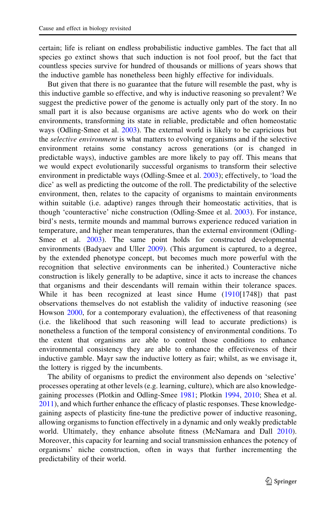certain; life is reliant on endless probabilistic inductive gambles. The fact that all species go extinct shows that such induction is not fool proof, but the fact that countless species survive for hundred of thousands or millions of years shows that the inductive gamble has nonetheless been highly effective for individuals.

But given that there is no guarantee that the future will resemble the past, why is this inductive gamble so effective, and why is inductive reasoning so prevalent? We suggest the predictive power of the genome is actually only part of the story. In no small part it is also because organisms are active agents who do work on their environments, transforming its state in reliable, predictable and often homeostatic ways (Odling-Smee et al. [2003](#page-25-0)). The external world is likely to be capricious but the selective environment is what matters to evolving organisms and if the selective environment retains some constancy across generations (or is changed in predictable ways), inductive gambles are more likely to pay off. This means that we would expect evolutionarily successful organisms to transform their selective environment in predictable ways (Odling-Smee et al. [2003\)](#page-25-0); effectively, to 'load the dice' as well as predicting the outcome of the roll. The predictability of the selective environment, then, relates to the capacity of organisms to maintain environments within suitable (i.e. adaptive) ranges through their homeostatic activities, that is though 'counteractive' niche construction (Odling-Smee et al. [2003\)](#page-25-0). For instance, bird's nests, termite mounds and mammal burrows experience reduced variation in temperature, and higher mean temperatures, than the external environment (Odling-Smee et al. [2003](#page-25-0)). The same point holds for constructed developmental environments (Badyaev and Uller [2009](#page-22-0)). (This argument is captured, to a degree, by the extended phenotype concept, but becomes much more powerful with the recognition that selective environments can be inherited.) Counteractive niche construction is likely generally to be adaptive, since it acts to increase the chances that organisms and their descendants will remain within their tolerance spaces. While it has been recognized at least since Hume [\(1910](#page-24-0)[1748]) that past observations themselves do not establish the validity of inductive reasoning (see Howson [2000,](#page-24-0) for a contemporary evaluation), the effectiveness of that reasoning (i.e. the likelihood that such reasoning will lead to accurate predictions) is nonetheless a function of the temporal consistency of environmental conditions. To the extent that organisms are able to control those conditions to enhance environmental consistency they are able to enhance the effectiveness of their inductive gamble. Mayr saw the inductive lottery as fair; whilst, as we envisage it, the lottery is rigged by the incumbents.

The ability of organisms to predict the environment also depends on 'selective' processes operating at other levels (e.g. learning, culture), which are also knowledge-gaining processes (Plotkin and Odling-Smee [1981;](#page-25-0) Plotkin [1994,](#page-25-0) [2010](#page-25-0); Shea et al. [2011\)](#page-26-0), and which further enhance the efficacy of plastic responses. These knowledgegaining aspects of plasticity fine-tune the predictive power of inductive reasoning, allowing organisms to function effectively in a dynamic and only weakly predictable world. Ultimately, they enhance absolute fitness (McNamara and Dall [2010\)](#page-25-0). Moreover, this capacity for learning and social transmission enhances the potency of organisms' niche construction, often in ways that further incrementing the predictability of their world.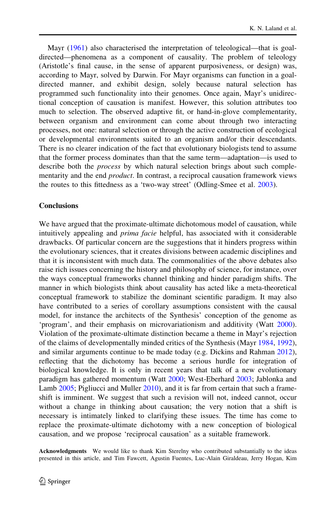Mayr [\(1961](#page-25-0)) also characterised the interpretation of teleological—that is goaldirected—phenomena as a component of causality. The problem of teleology (Aristotle's final cause, in the sense of apparent purposiveness, or design) was, according to Mayr, solved by Darwin. For Mayr organisms can function in a goaldirected manner, and exhibit design, solely because natural selection has programmed such functionality into their genomes. Once again, Mayr's unidirectional conception of causation is manifest. However, this solution attributes too much to selection. The observed adaptive fit, or hand-in-glove complementarity, between organism and environment can come about through two interacting processes, not one: natural selection or through the active construction of ecological or developmental environments suited to an organism and/or their descendants. There is no clearer indication of the fact that evolutionary biologists tend to assume that the former process dominates than that the same term—adaptation—is used to describe both the process by which natural selection brings about such complementarity and the end *product*. In contrast, a reciprocal causation framework views the routes to this fittedness as a 'two-way street' (Odling-Smee et al. [2003](#page-25-0)).

# **Conclusions**

We have argued that the proximate-ultimate dichotomous model of causation, while intuitively appealing and *prima facie* helpful, has associated with it considerable drawbacks. Of particular concern are the suggestions that it hinders progress within the evolutionary sciences, that it creates divisions between academic disciplines and that it is inconsistent with much data. The commonalities of the above debates also raise rich issues concerning the history and philosophy of science, for instance, over the ways conceptual frameworks channel thinking and hinder paradigm shifts. The manner in which biologists think about causality has acted like a meta-theoretical conceptual framework to stabilize the dominant scientific paradigm. It may also have contributed to a series of corollary assumptions consistent with the causal model, for instance the architects of the Synthesis' conception of the genome as 'program', and their emphasis on microvariationism and additivity (Watt [2000\)](#page-26-0). Violation of the proximate-ultimate distinction became a theme in Mayr's rejection of the claims of developmentally minded critics of the Synthesis (Mayr [1984,](#page-25-0) [1992\)](#page-25-0), and similar arguments continue to be made today (e.g. Dickins and Rahman [2012\)](#page-23-0), reflecting that the dichotomy has become a serious hurdle for integration of biological knowledge. It is only in recent years that talk of a new evolutionary paradigm has gathered momentum (Watt [2000](#page-26-0); West-Eberhard [2003;](#page-26-0) Jablonka and Lamb [2005;](#page-24-0) Pigliucci and Muller [2010](#page-25-0)), and it is far from certain that such a frameshift is imminent. We suggest that such a revision will not, indeed cannot, occur without a change in thinking about causation; the very notion that a shift is necessary is intimately linked to clarifying these issues. The time has come to replace the proximate-ultimate dichotomy with a new conception of biological causation, and we propose 'reciprocal causation' as a suitable framework.

Acknowledgments We would like to thank Kim Sterelny who contributed substantially to the ideas presented in this article, and Tim Fawcett, Agustin Fuentes, Luc-Alain Giraldeau, Jerry Hogan, Kim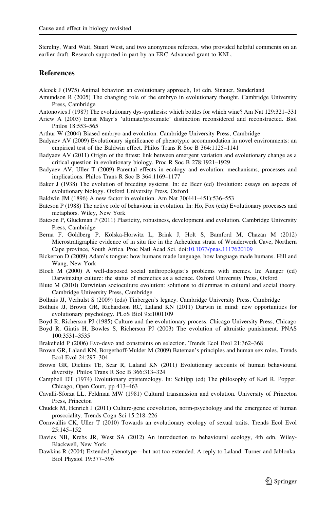<span id="page-22-0"></span>Sterelny, Ward Watt, Stuart West, and two anonymous referees, who provided helpful comments on an earlier draft. Research supported in part by an ERC Advanced grant to KNL.

#### **References**

Alcock J (1975) Animal behavior: an evolutionary approach, 1st edn. Sinauer, Sunderland

- Amundson R (2005) The changing role of the embryo in evolutionary thought. Cambridge University Press, Cambridge
- Antonovics J (1987) The evolutionary dys-synthesis: which bottles for which wine? Am Nat 129:321–331
- Ariew A (2003) Ernst Mayr's 'ultimate/proximate' distinction reconsidered and reconstructed. Biol Philos 18:553–565
- Arthur W (2004) Biased embryo and evolution. Cambridge University Press, Cambridge
- Badyaev AV (2009) Evolutionary significance of phenotypic accommodation in novel environments: an empirical test of the Baldwin effect. Philos Trans R Soc B 364:1125–1141
- Badyaev AV (2011) Origin of the fittest: link between emergent variation and evolutionary change as a critical question in evolutionary biology. Proc R Soc B 278:1921–1929
- Badyaev AV, Uller T (2009) Parental effects in ecology and evolution: mechanisms, processes and implications. Philos Trans R Soc B 364:1169–1177
- Baker J (1938) The evolution of breeding systems. In: de Beer (ed) Evolution: essays on aspects of evolutionary biology. Oxford University Press, Oxford
- Baldwin JM (1896) A new factor in evolution. Am Nat 30(441–451):536–553
- Bateson P (1988) The active role of behaviour in evolution. In: Ho, Fox (eds) Evolutionary processes and metaphors. Wiley, New York
- Bateson P, Gluckman P (2011) Plasticity, robustness, development and evolution. Cambridge University Press, Cambridge
- Berna F, Goldberg P, Kolska-Horwitz L, Brink J, Holt S, Bamford M, Chazan M (2012) Microstratigraphic evidence of in situ fire in the Acheulean strata of Wonderwerk Cave, Northern Cape province, South Africa. Proc Natl Acad Sci. doi[:10.1073/pnas.1117620109](http://dx.doi.org/10.1073/pnas.1117620109)
- Bickerton D (2009) Adam's tongue: how humans made language, how language made humans. Hill and Wang, New York
- Bloch M (2000) A well-disposed social anthropologist's problems with memes. In: Aunger (ed) Darwinizing culture: the status of memetics as a science. Oxford University Press, Oxford
- Blute M (2010) Darwinian socioculture evolution: solutions to dilemmas in cultural and social theory. Cambridge University Press, Cambridge
- Bolhuis JJ, Verhulst S (2009) (eds) Tinbergen's legacy. Cambridge University Press, Cambridge
- Bolhuis JJ, Brown GR, Richardson RC, Laland KN (2011) Darwin in mind: new opportunities for evolutionary psychology. PLoS Biol 9:e1001109
- Boyd R, Richerson PJ (1985) Culture and the evolutionary process. Chicago University Press, Chicago
- Boyd R, Gintis H, Bowles S, Richerson PJ (2003) The evolution of altruistic punishment. PNAS 100:3531–3535
- Brakefield P (2006) Evo-devo and constraints on selection. Trends Ecol Evol 21:362–368
- Brown GR, Laland KN, Borgerhoff-Mulder M (2009) Bateman's principles and human sex roles. Trends Ecol Evol 24:297–304
- Brown GR, Dickins TE, Sear R, Laland KN (2011) Evolutionary accounts of human behavioural diversity. Philos Trans R Soc B 366:313–324
- Campbell DT (1974) Evolutionary epistemology. In: Schilpp (ed) The philosophy of Karl R. Popper. Chicago, Open Court, pp 413–463
- Cavalli-Sforza LL, Feldman MW (1981) Cultural transmission and evolution. University of Princeton Press, Princeton
- Chudek M, Henrich J (2011) Culture-gene coevolution, norm-psychology and the emergence of human prosociality. Trends Cogn Sci 15:218–226
- Cornwallis CK, Uller T (2010) Towards an evolutionary ecology of sexual traits. Trends Ecol Evol 25:145–152
- Davies NB, Krebs JR, West SA (2012) An introduction to behavioural ecology, 4th edn. Wiley-Blackwell, New York
- Dawkins R (2004) Extended phenotype—but not too extended. A reply to Laland, Turner and Jablonka. Biol Physiol 19:377–396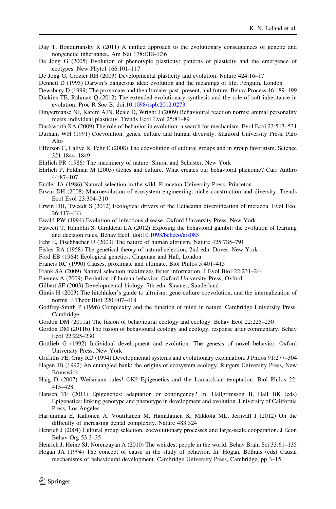- <span id="page-23-0"></span>Day T, Bonduriansky R (2011) A unified approach to the evolutionary consequences of genetic and nongenetic inheritance. Am Nat 178:E18–E36
- De Jong G (2005) Evolution of phenotypic plasticity: patterns of plasticity and the emergence of ecotypes. New Phytol 166:101–117
- De Jong G, Crozier RH (2003) Developmental plasticity and evolution. Nature 424:16–17

Dennett D (1995) Darwin's dangerous idea: evolution and the meanings of life. Penguin, London

Dewsbury D (1999) The proximate and the ultimate: past, present, and future. Behav Process 46:189–199

Dickins TE, Rahman Q (2012) The extended evolutionary synthesis and the role of soft inheritance in evolution. Proc R Soc B, doi:[10.1098/rspb.2012.0273](http://dx.doi.org/10.1098/rspb.2012.0273)

Dingermanse NJ, Karem AJN, Reale D, Wright J (2009) Behavioural reaction norms: animal personality meets individual plasticity. Trends Ecol Evol 25:81–89

Duckworth RA (2009) The role of behavior in evolution: a search for mechanism. Evol Ecol 23:513–531

Durham WH (1991) Coevolution: genes, culture and human diversity. Stanford University Press, Palo Alto

- Efferson C, Lalive R, Fehr E (2008) The coevolution of cultural groups and in group favoritism. Science 321:1844–1849
- Ehrlich PR (1986) The machinery of nature. Simon and Schuster, New York
- Ehrlich P, Feldman M (2003) Genes and culture. What creates our behavioral phenome? Curr Anthro 44:87–107
- Endler JA (1986) Natural selection in the wild. Princeton University Press, Princeton
- Erwin DH (2008) Macroevolution of ecosystem engineering, niche construction and diversity. Trends Ecol Evol 23:304–310
- Erwin DH, Tweedt S (2012) Ecological drivers of the Ediacaran diversification of metazoa. Evol Ecol 26:417–433
- Ewald PW (1994) Evolution of infectious disease. Oxford University Press, New York
- Fawcett T, Hamblin S, Giraldeau LA (2012) Exposing the behavioral gambit: the evolution of learning and decision rules. Behav Ecol. doi[:10.1093/beheco/ars085](http://dx.doi.org/10.1093/beheco/ars085)
- Fehr E, Fischbacher U (2003) The nature of human altruism. Nature 425:785–791
- Fisher RA (1958) The genetical theory of natural selection, 2nd edn. Dover, New York
- Ford EB (1964) Ecological genetics. Chapman and Hall, London
- Francis RC (1990) Causes, proximate and ultimate. Biol Philos 5:401–415
- Frank SA (2009) Natural selection maximizes fisher information. J Evol Biol 22:231–244
- Fuentes A (2009) Evolution of human behavior. Oxford University Press, Oxford
- Gilbert SF (2003) Developmental biology, 7th edn. Sinauer, Sunderland
- Gintis H (2003) The hitchhiker's guide to altruism: gene-culture coevolution, and the internalization of norms. J Theor Biol 220:407–418
- Godfrey-Smith P (1996) Complexity and the function of mind in nature. Cambridge University Press, Cambridge
- Gordon DM (2011a) The fusion of behavioural ecology and ecology. Behav Ecol 22:225–230
- Gordon DM (2011b) The fusion of behavioural ecology and ecology, response after commentary. Behav Ecol 22:225–230
- Gottlieb G (1992) Individual development and evolution. The genesis of novel behavior. Oxford University Press, New York
- Griffiths PE, Gray RD (1994) Developmental systems and evolutionary explanation. J Philos 91:277–304
- Hagen JB (1992) An entangled bank: the origins of ecosystem ecology. Rutgers University Press, New Brunswick
- Haig D (2007) Weismann rules! OK? Epigenetics and the Lamarckian temptation. Biol Philos 22: 415–428
- Hansen TF (2011) Epigenetics: adaptation or contingency? In: Hallgrímsson B, Hall BK (eds) Epigenetics: linking genotype and phenotype in development and evolution. University of California Press, Los Angeles
- Harjunmaa E, Kallonen A, Voutilainen M, Hamalainen K, Mikkola ML, Jernvall J (2012) On the difficulty of increasing dental complexity. Nature 483:324
- Henrich J (2004) Cultural group selection, coevolutionary processes and large-scale cooperation. J Econ Behav Org 53:3–35

Henrich J, Heine SJ, Norenzayan A (2010) The weirdest people in the world. Behav Brain Sci 33:61–135

Hogan JA (1994) The concept of cause in the study of behavior. In: Hogan, Bolhuis (eds) Causal mechanisms of behavioural development. Cambridge University Press, Cambridge, pp 3–15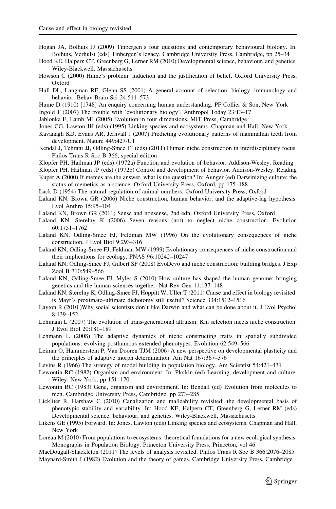- <span id="page-24-0"></span>Hogan JA, Bolhuis JJ (2009) Tinbergen's four questions and contemporary behavioural biology. In: Bolhuis, Verhulst (eds) Tinbergen's legacy. Cambridge University Press, Cambridge, pp 25–34
- Hood KE, Halpern CT, Greenberg G, Lerner RM (2010) Developmental science, behaviour, and genetics. Wiley-Blackwell, Massachusetts
- Howson C (2000) Hume's problem: induction and the justification of belief. Oxford University Press, Oxford
- Hull DL, Langman RE, Glenn SS (2001) A general account of selection: biology, immunology and behavior. Behav Brain Sci 24:511–573
- Hume D (1910) [1748] An enquiry concerning human understanding. PF Collier & Son, New York
- Ingold T (2007) The trouble with 'evolutionary biology'. Anthropol Today 23:13–17
- Jablonka E, Lamb MJ (2005) Evolution in four dimensions. MIT Press, Cambridge
- Jones CG, Lawton JH (eds) (1995) Linking species and ecosystems. Chapman and Hall, New York
- Kavanagh KD, Evans AR, Jernvall J (2007) Predicting evolutionary patterns of mammalian teeth from development. Nature 449:427-U1
- Kendal J, Tehrani JJ, Odling-Smee FJ (eds) (2011) Human niche construction in interdisciplinary focus. Philos Trans R Soc B 366, special edition
- Klopfer PH, Hailman JP (eds) (1972a) Function and evolution of behavior. Addison-Wesley, Reading
- Klopfer PH, Hailman JP (eds) (1972b) Control and development of behavior. Addison-Wesley, Reading
- Kuper A (2000) If memes are the answer, what is the question? In: Aunger (ed) Darwinizing culture: the status of memetics as a science. Oxford University Press, Oxford, pp 175–188
- Lack D (1954) The natural regulation of animal numbers. Oxford University Press, Oxford
- Laland KN, Brown GR (2006) Niche construction, human behavior, and the adaptive-lag hypothesis. Evol Anthro 15:95–104
- Laland KN, Brown GR (2011) Sense and nonsense, 2nd edn. Oxford University Press, Oxford
- Laland KN, Sterelny K (2006) Seven reasons (not) to neglect niche construction. Evolution 60:1751–1762
- Laland KN, Odling-Smee FJ, Feldman MW (1996) On the evolutionary consequences of niche construction. J Evol Biol 9:293–316
- Laland KN, Odling-Smee FJ, Feldman MW (1999) Evolutionary consequences of niche construction and their implications for ecology. PNAS 96:10242–10247
- Laland KN, Odling-Smee FJ, Gilbert SF (2008) EvoDevo and niche construction: building bridges. J Exp Zool B 310:549–566
- Laland KN, Odling-Smee FJ, Myles S (2010) How culture has shaped the human genome: bringing genetics and the human sciences together. Nat Rev Gen 11:137–148
- Laland KN, Sterelny K, Odling-Smee FJ, Hoppitt W, Uller T (2011) Cause and effect in biology revisited: is Mayr's proximate–ultimate dichotomy still useful? Science 334:1512–1516
- Layton R (2010.)Why social scientists don't like Darwin and what can be done about it. J Evol Psychol 8:139–152
- Lehmann L (2007) The evolution of trans-generational altruism: Kin selection meets niche construction. J Evol Biol 20:181–189
- Lehmann L (2008) The adaptive dynamics of niche constructing traits in spatially subdivided populations: evolving posthumous extended phenotypes. Evolution 62:549–566
- Leimar O, Hammerstein P, Van Dooren TJM (2006) A new perspective on developmental plasticity and the principles of adaptive morph determination. Am Nat 167:367–376
- Levins R (1966) The strategy of model building in population biology. Am Scientist 54:421–431
- Lewontin RC (1982) Organism and environment. In: Plotkin (ed) Learning, development and culture. Wiley, New York, pp 151–170
- Lewontin RC (1983) Gene, organism and environment. In: Bendall (ed) Evolution from molecules to men. Cambridge University Press, Cambridge, pp 273–285
- Lickliter R, Harshaw C (2010) Canalization and malleability revisited: the developmental basis of phenotypic stability and variability. In: Hood KE, Halpern CT, Greenberg G, Lerner RM (eds) Developmental science, behaviour, and genetics. Wiley-Blackwell, Massachusetts
- Likens GE (1995) Forward. In: Jones, Lawton (eds) Linking species and ecosystems. Chapman and Hall, New York
- Loreau M (2010) From populations to ecosystems: theoretical foundations for a new ecological synthesis. Monographs in Population Biology. Princeton University Press, Princeton, vol 46

MacDougall-Shackleton (2011) The levels of analysis revisited. Philos Trans R Soc B 366:2076–2085 Maynard-Smith J (1982) Evolution and the theory of games. Cambridge University Press, Cambridge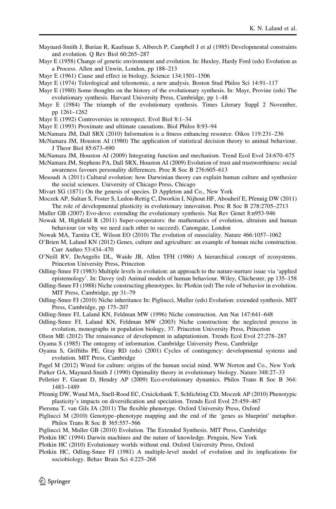- <span id="page-25-0"></span>Maynard-Smith J, Burian R, Kaufman S, Alberch P, Campbell J et al (1985) Developmental constraints and evolution. Q Rev Biol 60:265–287
- Mayr E (1958) Change of genetic environment and evolution. In: Huxley, Hardy Ford (eds) Evolution as a Process. Allen and Unwin, London, pp 188–213
- Mayr E (1961) Cause and effect in biology. Science 134:1501–1506
- Mayr E (1974) Teleological and teleonomic, a new analysis. Boston Stud Philos Sci 14:91–117
- Mayr E (1980) Some thoughts on the history of the evolutionary synthesis. In: Mayr, Provine (eds) The evolutionary synthesis. Harvard University Press, Cambridge, pp 1–48
- Mayr E (1984) The triumph of the evolutionary synthesis. Times Literary Suppl 2 November, pp 1261–1262
- Mayr E (1992) Controversies in retrospect. Evol Biol 8:1–34
- Mayr E (1993) Proximate and ultimate causations. Biol Philos 8:93–94
- McNamara JM, Dall SRX (2010) Information is a fitness enhancing resource. Oikos 119:231–236
- McNamara JM, Houston AI (1980) The application of statistical decision theory to animal behaviour. J Theor Biol 85:673–690
- McNamara JM, Houston AI (2009) Integrating function and mechanism. Trend Ecol Evol 24:670–675
- McNamara JM, Stephens PA, Dall SRX, Houston AI (2009) Evolution of trust and trustworthiness: social awareness favours personality differences. Proc R Soc B 276:605–613
- Mesoudi A (2011) Cultural evolution: how Darwinian theory can explain human culture and synthesize the social sciences. University of Chicago Press, Chicago
- Mivart SG (1871) On the genesis of species. D Appleton and Co., New York
- Moczek AP, Sultan S, Foster S, Ledon-Rettig C, Dworkin I, Nijhout HF, Abouheif E, Pfennig DW (2011) The role of developmental plasticity in evolutionary innovation. Proc R Soc B 278:2705–2713
- Muller GB (2007) Evo-devo: extending the evolutionary synthesis. Nat Rev Genet 8:n953-946
- Nowak M, Highfield R (2011) Super-cooperators: the mathematics of evolution, altruism and human behaviour (or why we need each other to succeed). Canongate, London
- Nowak MA, Tarnita CE, Wilson EO (2010) The evolution of eusociality. Nature 466:1057–1062
- O'Brien M, Laland KN (2012) Genes, culture and agriculture: an example of human niche construction. Curr Anthro 53:434–470
- O'Neill RV, DeAngelis DL, Waide JB, Allen TFH (1986) A hierarchical concept of ecosystems. Princeton University Press, Princeton
- Odling-Smee FJ (1983) Multiple levels in evolution: an approach to the nature-nurture issue via 'applied epistemology'. In: Davey (ed) Animal models of human behaviour. Wiley, Chichester, pp 135–158 Odling-Smee FJ (1988) Niche constructing phenotypes. In: Plotkin (ed) The role of behavior in evolution.
- MIT Press, Cambridge, pp 31–79
- Odling-Smee FJ (2010) Niche inheritance In: Pigliucci, Muller (eds) Evolution: extended synthesis. MIT Press, Cambridge, pp 175–207
- Odling-Smee FJ, Laland KN, Feldman MW (1996) Niche construction. Am Nat 147:641–648
- Odling-Smee FJ, Laland KN, Feldman MW (2003) Niche construction: the neglected process in evolution, monographs in population biology, 37. Princeton University Press, Princeton
- Olson ME (2012) The renaissance of development in adaptationism. Trends Ecol Evol 27:278–287
- Oyama S (1985) The ontogeny of information. Cambridge University Press, Cambridge
- Oyama S, Griffiths PE, Gray RD (eds) (2001) Cycles of contingency: developmental systems and evolution. MIT Press, Cambridge
- Pagel M (2012) Wired for culture: origins of the human social mind. WW Norton and Co., New York
- Parker GA, Maynard-Smith J (1990) Optimality theory in evolutionary biology. Nature 348:27–33
- Pelletier F, Garant D, Hendry AP (2009) Eco-evolutionary dynamics. Philos Trans R Soc B 364: 1483–1489
- Pfennig DW, Wund MA, Snell-Rood EC, Cruickshank T, Schlichting CD, Moczek AP (2010) Phenotypic plasticity's impacts on diversification and speciation. Trends Ecol Evol 25:459–467
- Piersma T, van Gils JA (2011) The flexible phenotype. Oxford University Press, Oxford
- Pigliucci M (2010) Genotype–phenotype mapping and the end of the 'genes as blueprint' metaphor. Philos Trans R Soc B 365:557–566
- Pigliucci M, Muller GB (2010) Evolution. The Extended Synthesis. MIT Press, Cambridge
- Plotkin HC (1994) Darwin machines and the nature of knowledge. Penguin, New York
- Plotkin HC (2010) Evolutionary worlds without end. Oxford University Press, Oxford
- Plotkin HC, Odling-Smee FJ (1981) A multiple-level model of evolution and its implications for sociobiology. Behav Brain Sci 4:225–268